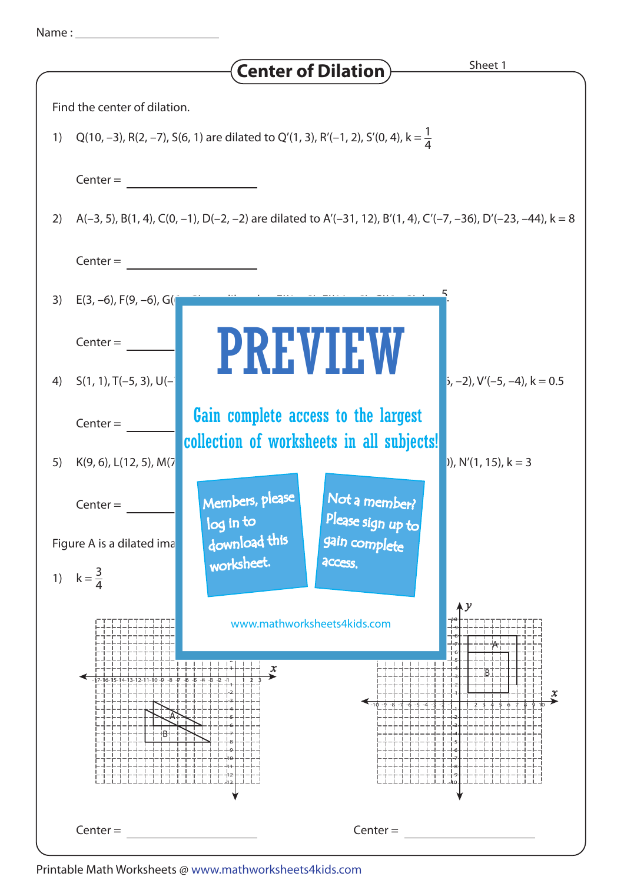|  | Name |  |
|--|------|--|
|  |      |  |
|  |      |  |

|                                                                                                                     | Sheet 1<br><b>Center of Dilation</b> )                                                       |  |  |  |  |  |
|---------------------------------------------------------------------------------------------------------------------|----------------------------------------------------------------------------------------------|--|--|--|--|--|
| Find the center of dilation.                                                                                        |                                                                                              |  |  |  |  |  |
| 1)                                                                                                                  | Q(10, -3), R(2, -7), S(6, 1) are dilated to Q'(1, 3), R'(-1, 2), S'(0, 4), k = $\frac{1}{4}$ |  |  |  |  |  |
| $Center =$                                                                                                          |                                                                                              |  |  |  |  |  |
| A(-3, 5), B(1, 4), C(0, -1), D(-2, -2) are dilated to A'(-31, 12), B'(1, 4), C'(-7, -36), D'(-23, -44), k = 8<br>2) |                                                                                              |  |  |  |  |  |
| $Center =$                                                                                                          |                                                                                              |  |  |  |  |  |
| 3)<br>$E(3, -6)$ , $F(9, -6)$ , $G($                                                                                |                                                                                              |  |  |  |  |  |
| $Center =$                                                                                                          | <b>PREVIEW</b>                                                                               |  |  |  |  |  |
| $S(1, 1), T(-5, 3), U(-$<br>4)                                                                                      | $(i, -2)$ , V'(-5, -4), k = 0.5                                                              |  |  |  |  |  |
| $Center =$                                                                                                          | Gain complete access to the largest                                                          |  |  |  |  |  |
| K(9, 6), L(12, 5), M(7<br>5)                                                                                        | collection of worksheets in all subjects!<br>$)$ , N'(1, 15), k = 3                          |  |  |  |  |  |
| $Center =$                                                                                                          | Members, please<br>Not a member?                                                             |  |  |  |  |  |
| Figure A is a dilated ima                                                                                           | Please sign up to<br>log in to<br>download this<br>gain complete                             |  |  |  |  |  |
| $k=\frac{3}{4}$<br>1)                                                                                               | worksheet.<br>access.                                                                        |  |  |  |  |  |
|                                                                                                                     | $\boldsymbol{\lambda}$ $\boldsymbol{\mathcal{Y}}$<br>www.mathworksheets4kids.com             |  |  |  |  |  |
| -17-16-15-14-13-12-11-10 <i>-</i> 9                                                                                 | x<br>x                                                                                       |  |  |  |  |  |
| $Center =$                                                                                                          | $Center =$                                                                                   |  |  |  |  |  |